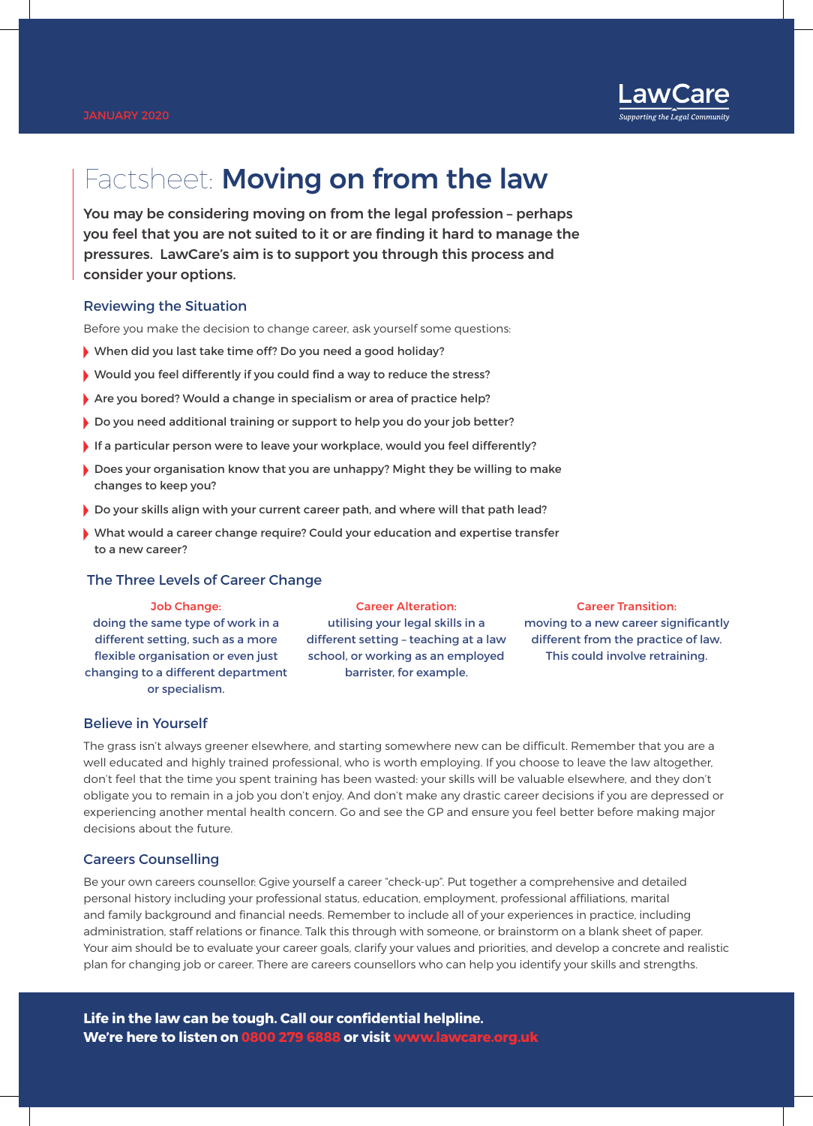

# Factsheet: Moving on from the law

You may be considering moving on from the legal profession – perhaps you feel that you are not suited to it or are finding it hard to manage the pressures. LawCare's aim is to support you through this process and consider your options.

## Reviewing the Situation

Before you make the decision to change career, ask yourself some questions:

- When did you last take time off? Do you need a good holiday?
- Would you feel differently if you could find a way to reduce the stress?
- Are you bored? Would a change in specialism or area of practice help?
- Do you need additional training or support to help you do your job better?
- If a particular person were to leave your workplace, would you feel differently?
- Does your organisation know that you are unhappy? Might they be willing to make changes to keep you?
- Do your skills align with your current career path, and where will that path lead?
- What would a career change require? Could your education and expertise transfer to a new career?

## The Three Levels of Career Change

## Job Change:

doing the same type of work in a different setting, such as a more flexible organisation or even just changing to a different department or specialism.

Career Alteration: utilising your legal skills in a different setting – teaching at a law school, or working as an employed barrister, for example.

### Career Transition:

moving to a new career significantly different from the practice of law. This could involve retraining.

## Believe in Yourself

The grass isn't always greener elsewhere, and starting somewhere new can be difficult. Remember that you are a well educated and highly trained professional, who is worth employing. If you choose to leave the law altogether, don't feel that the time you spent training has been wasted: your skills will be valuable elsewhere, and they don't obligate you to remain in a job you don't enjoy. And don't make any drastic career decisions if you are depressed or experiencing another mental health concern. Go and see the GP and ensure you feel better before making major decisions about the future.

## Careers Counselling

Be your own careers counsellor: Ggive yourself a career "check-up". Put together a comprehensive and detailed personal history including your professional status, education, employment, professional affiliations, marital and family background and financial needs. Remember to include all of your experiences in practice, including administration, staff relations or finance. Talk this through with someone, or brainstorm on a blank sheet of paper. Your aim should be to evaluate your career goals, clarify your values and priorities, and develop a concrete and realistic plan for changing job or career. There are careers counsellors who can help you identify your skills and strengths.